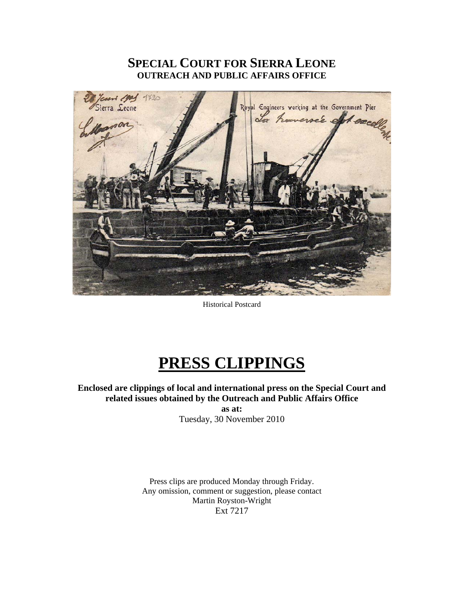# **SPECIAL COURT FOR SIERRA LEONE OUTREACH AND PUBLIC AFFAIRS OFFICE**



Historical Postcard

# **PRESS CLIPPINGS**

**Enclosed are clippings of local and international press on the Special Court and related issues obtained by the Outreach and Public Affairs Office as at:** 

Tuesday, 30 November 2010

Press clips are produced Monday through Friday. Any omission, comment or suggestion, please contact Martin Royston-Wright Ext 7217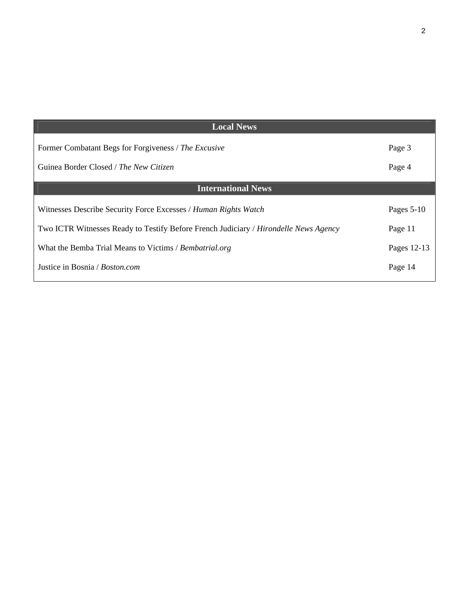| <b>Local News</b>                                                                    |              |
|--------------------------------------------------------------------------------------|--------------|
| Former Combatant Begs for Forgiveness / The Excusive                                 | Page 3       |
| Guinea Border Closed / The New Citizen                                               | Page 4       |
| <b>International News</b>                                                            |              |
| Witnesses Describe Security Force Excesses / Human Rights Watch                      | Pages $5-10$ |
| Two ICTR Witnesses Ready to Testify Before French Judiciary / Hirondelle News Agency | Page 11      |
| What the Bemba Trial Means to Victims / Bembatrial.org                               | Pages 12-13  |
| Justice in Bosnia / Boston.com                                                       | Page 14      |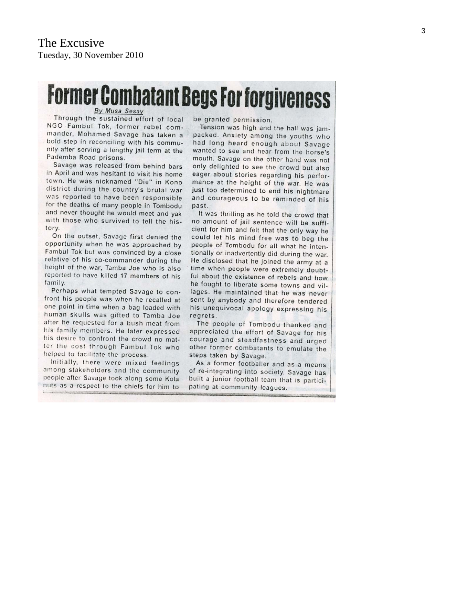# **Former Combatant Begs For forgiveness**

By Musa Sesay

Through the sustained effort of local NGO Fambul Tok, former rebel commander, Mohamed Savage has taken a bold step in reconciling with his community after serving a lengthy jail term at the Pademba Road prisons.

Savage was released from behind bars in April and was hesitant to visit his home town. He was nicknamed "Die" in Kono district during the country's brutal war was reported to have been responsible for the deaths of many people in Tombodu and never thought he would meet and yak with those who survived to tell the history.

On the outset, Savage first denied the opportunity when he was approached by Fambul Tok but was convinced by a close relative of his co-commander during the height of the war, Tamba Joe who is also reported to have killed 17 members of his family

Perhaps what tempted Savage to confront his people was when he recalled at one point in time when a bag loaded with human skulls was gifted to Tamba Joe after he requested for a bush meat from his family members. He later expressed his desire to confront the crowd no matter the cost through Fambul Tok who helped to facilitate the process.

Initially, there were mixed feelings among stakeholders and the community people after Savage took along some Kola nuts as a respect to the chiefs for him to be granted permission.

Tension was high and the hall was jampacked. Anxiety among the youths who had long heard enough about Savage wanted to see and hear from the horse's mouth. Savage on the other hand was not only delighted to see the crowd but also eager about stories regarding his performance at the height of the war. He was just too determined to end his nightmare and courageous to be reminded of his past.

It was thrilling as he told the crowd that no amount of jail sentence will be sufficient for him and felt that the only way he could let his mind free was to beg the people of Tombodu for all what he intentionally or inadvertently did during the war. He disclosed that he joined the army at a time when people were extremely doubtful about the existence of rebels and how he fought to liberate some towns and villages. He maintained that he was never sent by anybody and therefore tendered his unequivocal apology expressing his regrets.

The people of Tombodu thanked and appreciated the effort of Savage for his courage and steadfastness and urged other former combatants to emulate the steps taken by Savage.

As a former footballer and as a means of re-integrating into society, Savage has built a junior football team that is participating at community leagues.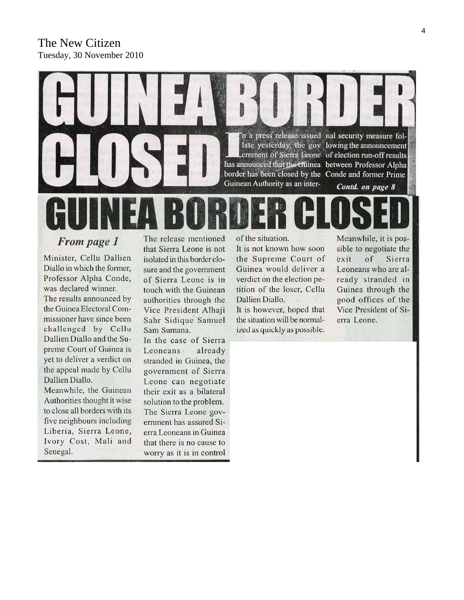# The New Citizen Tuesday, 30 November 2010



From page 1

Minister, Cellu Dallien Diallo in which the former, Professor Alpha Conde, was declared winner. The results announced by the Guinea Electoral Commissioner have since been challenged by Cellu Dallien Diallo and the Supreme Court of Guinea is yet to deliver a verdict on the appeal made by Cellu Dallien Diallo.

Meanwhile, the Guinean Authorities thought it wise to close all borders with its five neighbours including Liberia, Sierra Leone, Ivory Cost, Mali and Senegal.

The release mentioned that Sierra Leone is not isolated in this border closure and the government of Sierra Leone is in touch with the Guinean authorities through the Vice President Alhaji Sahr Sidique Samuel Sam Sumana.

In the case of Sierra already Leoneans stranded in Guinea, the government of Sierra Leone can negotiate their exit as a bilateral solution to the problem. The Sierra Leone government has assured Sierra Leoneans in Guinea that there is no cause to worry as it is in control

of the situation.

It is not known how soon the Supreme Court of Guinea would deliver a verdict on the election petition of the loser, Cellu Dallien Diallo. It is however, hoped that

the situation will be normalized as quickly as possible. Meanwhile, it is possible to negotiate the of Sierra exit Leoneans who are already stranded in Guinea through the good offices of the Vice President of Sierra Leone.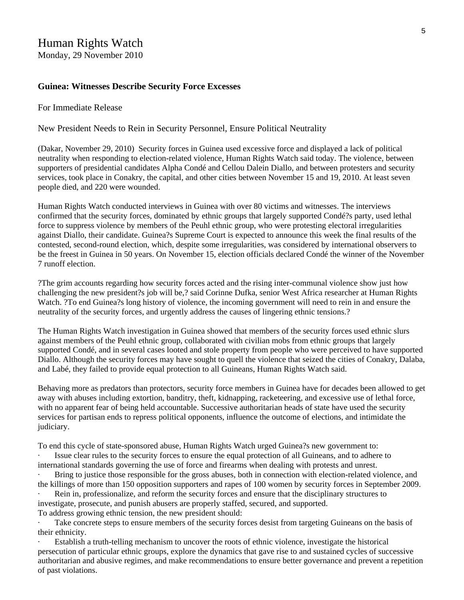# Human Rights Watch

Monday, 29 November 2010

#### **Guinea: Witnesses Describe Security Force Excesses**

#### For Immediate Release

New President Needs to Rein in Security Personnel, Ensure Political Neutrality

(Dakar, November 29, 2010) Security forces in Guinea used excessive force and displayed a lack of political neutrality when responding to election-related violence, Human Rights Watch said today. The violence, between supporters of presidential candidates Alpha Condé and Cellou Dalein Diallo, and between protesters and security services, took place in Conakry, the capital, and other cities between November 15 and 19, 2010. At least seven people died, and 220 were wounded.

Human Rights Watch conducted interviews in Guinea with over 80 victims and witnesses. The interviews confirmed that the security forces, dominated by ethnic groups that largely supported Condé?s party, used lethal force to suppress violence by members of the Peuhl ethnic group, who were protesting electoral irregularities against Diallo, their candidate. Guinea?s Supreme Court is expected to announce this week the final results of the contested, second-round election, which, despite some irregularities, was considered by international observers to be the freest in Guinea in 50 years. On November 15, election officials declared Condé the winner of the November 7 runoff election.

?The grim accounts regarding how security forces acted and the rising inter-communal violence show just how challenging the new president?s job will be,? said Corinne Dufka, senior West Africa researcher at Human Rights Watch. ?To end Guinea?s long history of violence, the incoming government will need to rein in and ensure the neutrality of the security forces, and urgently address the causes of lingering ethnic tensions.?

The Human Rights Watch investigation in Guinea showed that members of the security forces used ethnic slurs against members of the Peuhl ethnic group, collaborated with civilian mobs from ethnic groups that largely supported Condé, and in several cases looted and stole property from people who were perceived to have supported Diallo. Although the security forces may have sought to quell the violence that seized the cities of Conakry, Dalaba, and Labé, they failed to provide equal protection to all Guineans, Human Rights Watch said.

Behaving more as predators than protectors, security force members in Guinea have for decades been allowed to get away with abuses including extortion, banditry, theft, kidnapping, racketeering, and excessive use of lethal force, with no apparent fear of being held accountable. Successive authoritarian heads of state have used the security services for partisan ends to repress political opponents, influence the outcome of elections, and intimidate the judiciary.

To end this cycle of state-sponsored abuse, Human Rights Watch urged Guinea?s new government to:

Issue clear rules to the security forces to ensure the equal protection of all Guineans, and to adhere to international standards governing the use of force and firearms when dealing with protests and unrest.

Bring to justice those responsible for the gross abuses, both in connection with election-related violence, and the killings of more than 150 opposition supporters and rapes of 100 women by security forces in September 2009.

Rein in, professionalize, and reform the security forces and ensure that the disciplinary structures to investigate, prosecute, and punish abusers are properly staffed, secured, and supported.

To address growing ethnic tension, the new president should:

Take concrete steps to ensure members of the security forces desist from targeting Guineans on the basis of their ethnicity.

Establish a truth-telling mechanism to uncover the roots of ethnic violence, investigate the historical persecution of particular ethnic groups, explore the dynamics that gave rise to and sustained cycles of successive authoritarian and abusive regimes, and make recommendations to ensure better governance and prevent a repetition of past violations.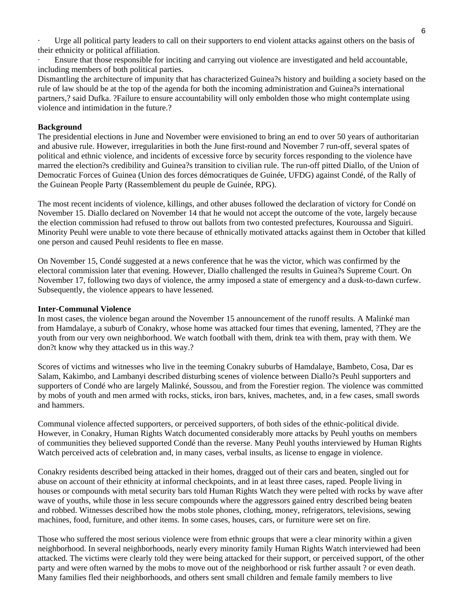Urge all political party leaders to call on their supporters to end violent attacks against others on the basis of their ethnicity or political affiliation.

Ensure that those responsible for inciting and carrying out violence are investigated and held accountable, including members of both political parties.

Dismantling the architecture of impunity that has characterized Guinea?s history and building a society based on the rule of law should be at the top of the agenda for both the incoming administration and Guinea?s international partners,? said Dufka. ?Failure to ensure accountability will only embolden those who might contemplate using violence and intimidation in the future.?

#### **Background**

The presidential elections in June and November were envisioned to bring an end to over 50 years of authoritarian and abusive rule. However, irregularities in both the June first-round and November 7 run-off, several spates of political and ethnic violence, and incidents of excessive force by security forces responding to the violence have marred the election?s credibility and Guinea?s transition to civilian rule. The run-off pitted Diallo, of the Union of Democratic Forces of Guinea (Union des forces démocratiques de Guinée, UFDG) against Condé, of the Rally of the Guinean People Party (Rassemblement du peuple de Guinée, RPG).

The most recent incidents of violence, killings, and other abuses followed the declaration of victory for Condé on November 15. Diallo declared on November 14 that he would not accept the outcome of the vote, largely because the election commission had refused to throw out ballots from two contested prefectures, Kouroussa and Siguiri. Minority Peuhl were unable to vote there because of ethnically motivated attacks against them in October that killed one person and caused Peuhl residents to flee en masse.

On November 15, Condé suggested at a news conference that he was the victor, which was confirmed by the electoral commission later that evening. However, Diallo challenged the results in Guinea?s Supreme Court. On November 17, following two days of violence, the army imposed a state of emergency and a dusk-to-dawn curfew. Subsequently, the violence appears to have lessened.

#### **Inter-Communal Violence**

In most cases, the violence began around the November 15 announcement of the runoff results. A Malinké man from Hamdalaye, a suburb of Conakry, whose home was attacked four times that evening, lamented, ?They are the youth from our very own neighborhood. We watch football with them, drink tea with them, pray with them. We don?t know why they attacked us in this way.?

Scores of victims and witnesses who live in the teeming Conakry suburbs of Hamdalaye, Bambeto, Cosa, Dar es Salam, Kakimbo, and Lambanyi described disturbing scenes of violence between Diallo?s Peuhl supporters and supporters of Condé who are largely Malinké, Soussou, and from the Forestier region. The violence was committed by mobs of youth and men armed with rocks, sticks, iron bars, knives, machetes, and, in a few cases, small swords and hammers.

Communal violence affected supporters, or perceived supporters, of both sides of the ethnic-political divide. However, in Conakry, Human Rights Watch documented considerably more attacks by Peuhl youths on members of communities they believed supported Condé than the reverse. Many Peuhl youths interviewed by Human Rights Watch perceived acts of celebration and, in many cases, verbal insults, as license to engage in violence.

Conakry residents described being attacked in their homes, dragged out of their cars and beaten, singled out for abuse on account of their ethnicity at informal checkpoints, and in at least three cases, raped. People living in houses or compounds with metal security bars told Human Rights Watch they were pelted with rocks by wave after wave of youths, while those in less secure compounds where the aggressors gained entry described being beaten and robbed. Witnesses described how the mobs stole phones, clothing, money, refrigerators, televisions, sewing machines, food, furniture, and other items. In some cases, houses, cars, or furniture were set on fire.

Those who suffered the most serious violence were from ethnic groups that were a clear minority within a given neighborhood. In several neighborhoods, nearly every minority family Human Rights Watch interviewed had been attacked. The victims were clearly told they were being attacked for their support, or perceived support, of the other party and were often warned by the mobs to move out of the neighborhood or risk further assault ? or even death. Many families fled their neighborhoods, and others sent small children and female family members to live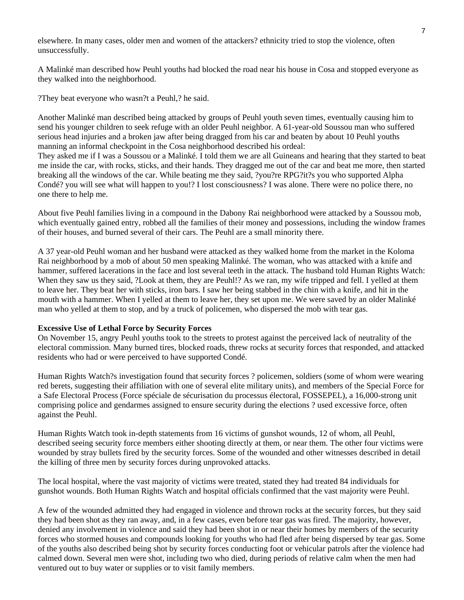elsewhere. In many cases, older men and women of the attackers? ethnicity tried to stop the violence, often unsuccessfully.

A Malinké man described how Peuhl youths had blocked the road near his house in Cosa and stopped everyone as they walked into the neighborhood.

?They beat everyone who wasn?t a Peuhl,? he said.

Another Malinké man described being attacked by groups of Peuhl youth seven times, eventually causing him to send his younger children to seek refuge with an older Peuhl neighbor. A 61-year-old Soussou man who suffered serious head injuries and a broken jaw after being dragged from his car and beaten by about 10 Peuhl youths manning an informal checkpoint in the Cosa neighborhood described his ordeal:

They asked me if I was a Soussou or a Malinké. I told them we are all Guineans and hearing that they started to beat me inside the car, with rocks, sticks, and their hands. They dragged me out of the car and beat me more, then started breaking all the windows of the car. While beating me they said, ?you?re RPG?it?s you who supported Alpha Condé? you will see what will happen to you!? I lost consciousness? I was alone. There were no police there, no one there to help me.

About five Peuhl families living in a compound in the Dabony Rai neighborhood were attacked by a Soussou mob, which eventually gained entry, robbed all the families of their money and possessions, including the window frames of their houses, and burned several of their cars. The Peuhl are a small minority there.

A 37 year-old Peuhl woman and her husband were attacked as they walked home from the market in the Koloma Rai neighborhood by a mob of about 50 men speaking Malinké. The woman, who was attacked with a knife and hammer, suffered lacerations in the face and lost several teeth in the attack. The husband told Human Rights Watch: When they saw us they said, ?Look at them, they are Peuhl!? As we ran, my wife tripped and fell. I yelled at them to leave her. They beat her with sticks, iron bars. I saw her being stabbed in the chin with a knife, and hit in the mouth with a hammer. When I yelled at them to leave her, they set upon me. We were saved by an older Malinké man who yelled at them to stop, and by a truck of policemen, who dispersed the mob with tear gas.

#### **Excessive Use of Lethal Force by Security Forces**

On November 15, angry Peuhl youths took to the streets to protest against the perceived lack of neutrality of the electoral commission. Many burned tires, blocked roads, threw rocks at security forces that responded, and attacked residents who had or were perceived to have supported Condé.

Human Rights Watch?s investigation found that security forces ? policemen, soldiers (some of whom were wearing red berets, suggesting their affiliation with one of several elite military units), and members of the Special Force for a Safe Electoral Process (Force spéciale de sécurisation du processus électoral, FOSSEPEL), a 16,000-strong unit comprising police and gendarmes assigned to ensure security during the elections ? used excessive force, often against the Peuhl.

Human Rights Watch took in-depth statements from 16 victims of gunshot wounds, 12 of whom, all Peuhl, described seeing security force members either shooting directly at them, or near them. The other four victims were wounded by stray bullets fired by the security forces. Some of the wounded and other witnesses described in detail the killing of three men by security forces during unprovoked attacks.

The local hospital, where the vast majority of victims were treated, stated they had treated 84 individuals for gunshot wounds. Both Human Rights Watch and hospital officials confirmed that the vast majority were Peuhl.

A few of the wounded admitted they had engaged in violence and thrown rocks at the security forces, but they said they had been shot as they ran away, and, in a few cases, even before tear gas was fired. The majority, however, denied any involvement in violence and said they had been shot in or near their homes by members of the security forces who stormed houses and compounds looking for youths who had fled after being dispersed by tear gas. Some of the youths also described being shot by security forces conducting foot or vehicular patrols after the violence had calmed down. Several men were shot, including two who died, during periods of relative calm when the men had ventured out to buy water or supplies or to visit family members.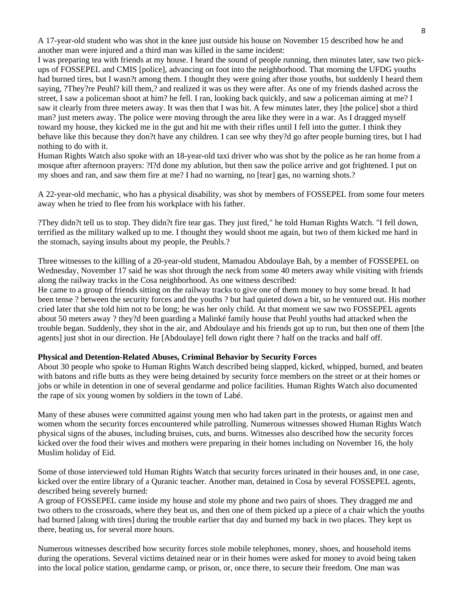A 17-year-old student who was shot in the knee just outside his house on November 15 described how he and another man were injured and a third man was killed in the same incident:

I was preparing tea with friends at my house. I heard the sound of people running, then minutes later, saw two pickups of FOSSEPEL and CMIS [police], advancing on foot into the neighborhood. That morning the UFDG youths had burned tires, but I wasn?t among them. I thought they were going after those youths, but suddenly I heard them saying, ?They?re Peuhl? kill them,? and realized it was us they were after. As one of my friends dashed across the street, I saw a policeman shoot at him? he fell. I ran, looking back quickly, and saw a policeman aiming at me? I saw it clearly from three meters away. It was then that I was hit. A few minutes later, they [the police] shot a third man? just meters away. The police were moving through the area like they were in a war. As I dragged myself toward my house, they kicked me in the gut and hit me with their rifles until I fell into the gutter. I think they behave like this because they don?t have any children. I can see why they?d go after people burning tires, but I had nothing to do with it.

Human Rights Watch also spoke with an 18-year-old taxi driver who was shot by the police as he ran home from a mosque after afternoon prayers: ?I?d done my ablution, but then saw the police arrive and got frightened. I put on my shoes and ran, and saw them fire at me? I had no warning, no [tear] gas, no warning shots.?

A 22-year-old mechanic, who has a physical disability, was shot by members of FOSSEPEL from some four meters away when he tried to flee from his workplace with his father.

?They didn?t tell us to stop. They didn?t fire tear gas. They just fired," he told Human Rights Watch. "I fell down, terrified as the military walked up to me. I thought they would shoot me again, but two of them kicked me hard in the stomach, saying insults about my people, the Peuhls.?

Three witnesses to the killing of a 20-year-old student, Mamadou Abdoulaye Bah, by a member of FOSSEPEL on Wednesday, November 17 said he was shot through the neck from some 40 meters away while visiting with friends along the railway tracks in the Cosa neighborhood. As one witness described:

He came to a group of friends sitting on the railway tracks to give one of them money to buy some bread. It had been tense ? between the security forces and the youths ? but had quieted down a bit, so he ventured out. His mother cried later that she told him not to be long; he was her only child. At that moment we saw two FOSSEPEL agents about 50 meters away ? they?d been guarding a Malinké family house that Peuhl youths had attacked when the trouble began. Suddenly, they shot in the air, and Abdoulaye and his friends got up to run, but then one of them [the agents] just shot in our direction. He [Abdoulaye] fell down right there ? half on the tracks and half off.

#### **Physical and Detention-Related Abuses, Criminal Behavior by Security Forces**

About 30 people who spoke to Human Rights Watch described being slapped, kicked, whipped, burned, and beaten with batons and rifle butts as they were being detained by security force members on the street or at their homes or jobs or while in detention in one of several gendarme and police facilities. Human Rights Watch also documented the rape of six young women by soldiers in the town of Labé.

Many of these abuses were committed against young men who had taken part in the protests, or against men and women whom the security forces encountered while patrolling. Numerous witnesses showed Human Rights Watch physical signs of the abuses, including bruises, cuts, and burns. Witnesses also described how the security forces kicked over the food their wives and mothers were preparing in their homes including on November 16, the holy Muslim holiday of Eid.

Some of those interviewed told Human Rights Watch that security forces urinated in their houses and, in one case, kicked over the entire library of a Quranic teacher. Another man, detained in Cosa by several FOSSEPEL agents, described being severely burned:

A group of FOSSEPEL came inside my house and stole my phone and two pairs of shoes. They dragged me and two others to the crossroads, where they beat us, and then one of them picked up a piece of a chair which the youths had burned [along with tires] during the trouble earlier that day and burned my back in two places. They kept us there, beating us, for several more hours.

Numerous witnesses described how security forces stole mobile telephones, money, shoes, and household items during the operations. Several victims detained near or in their homes were asked for money to avoid being taken into the local police station, gendarme camp, or prison, or, once there, to secure their freedom. One man was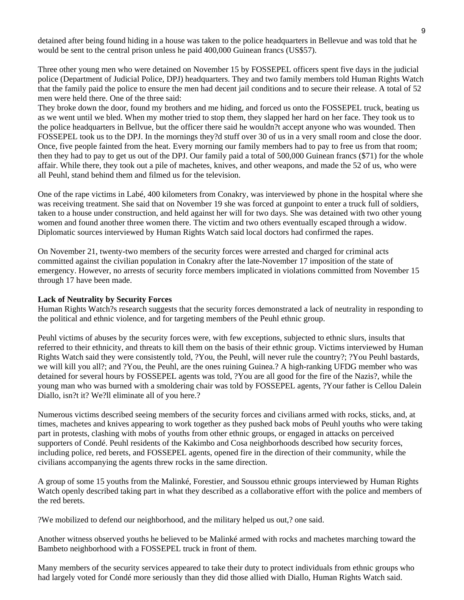detained after being found hiding in a house was taken to the police headquarters in Bellevue and was told that he would be sent to the central prison unless he paid 400,000 Guinean francs (US\$57).

Three other young men who were detained on November 15 by FOSSEPEL officers spent five days in the judicial police (Department of Judicial Police, DPJ) headquarters. They and two family members told Human Rights Watch that the family paid the police to ensure the men had decent jail conditions and to secure their release. A total of 52 men were held there. One of the three said:

They broke down the door, found my brothers and me hiding, and forced us onto the FOSSEPEL truck, beating us as we went until we bled. When my mother tried to stop them, they slapped her hard on her face. They took us to the police headquarters in Bellvue, but the officer there said he wouldn?t accept anyone who was wounded. Then FOSSEPEL took us to the DPJ. In the mornings they?d stuff over 30 of us in a very small room and close the door. Once, five people fainted from the heat. Every morning our family members had to pay to free us from that room; then they had to pay to get us out of the DPJ. Our family paid a total of 500,000 Guinean francs (\$71) for the whole affair. While there, they took out a pile of machetes, knives, and other weapons, and made the 52 of us, who were all Peuhl, stand behind them and filmed us for the television.

One of the rape victims in Labé, 400 kilometers from Conakry, was interviewed by phone in the hospital where she was receiving treatment. She said that on November 19 she was forced at gunpoint to enter a truck full of soldiers, taken to a house under construction, and held against her will for two days. She was detained with two other young women and found another three women there. The victim and two others eventually escaped through a widow. Diplomatic sources interviewed by Human Rights Watch said local doctors had confirmed the rapes.

On November 21, twenty-two members of the security forces were arrested and charged for criminal acts committed against the civilian population in Conakry after the late-November 17 imposition of the state of emergency. However, no arrests of security force members implicated in violations committed from November 15 through 17 have been made.

#### **Lack of Neutrality by Security Forces**

Human Rights Watch?s research suggests that the security forces demonstrated a lack of neutrality in responding to the political and ethnic violence, and for targeting members of the Peuhl ethnic group.

Peuhl victims of abuses by the security forces were, with few exceptions, subjected to ethnic slurs, insults that referred to their ethnicity, and threats to kill them on the basis of their ethnic group. Victims interviewed by Human Rights Watch said they were consistently told, ?You, the Peuhl, will never rule the country?; ?You Peuhl bastards, we will kill you all?; and ?You, the Peuhl, are the ones ruining Guinea.? A high-ranking UFDG member who was detained for several hours by FOSSEPEL agents was told, ?You are all good for the fire of the Nazis?, while the young man who was burned with a smoldering chair was told by FOSSEPEL agents, ?Your father is Cellou Dalein Diallo, isn?t it? We?ll eliminate all of you here.?

Numerous victims described seeing members of the security forces and civilians armed with rocks, sticks, and, at times, machetes and knives appearing to work together as they pushed back mobs of Peuhl youths who were taking part in protests, clashing with mobs of youths from other ethnic groups, or engaged in attacks on perceived supporters of Condé. Peuhl residents of the Kakimbo and Cosa neighborhoods described how security forces, including police, red berets, and FOSSEPEL agents, opened fire in the direction of their community, while the civilians accompanying the agents threw rocks in the same direction.

A group of some 15 youths from the Malinké, Forestier, and Soussou ethnic groups interviewed by Human Rights Watch openly described taking part in what they described as a collaborative effort with the police and members of the red berets.

?We mobilized to defend our neighborhood, and the military helped us out,? one said.

Another witness observed youths he believed to be Malinké armed with rocks and machetes marching toward the Bambeto neighborhood with a FOSSEPEL truck in front of them.

Many members of the security services appeared to take their duty to protect individuals from ethnic groups who had largely voted for Condé more seriously than they did those allied with Diallo, Human Rights Watch said.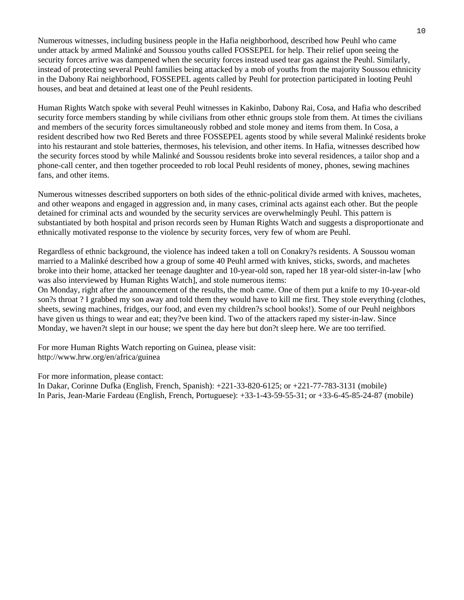Numerous witnesses, including business people in the Hafia neighborhood, described how Peuhl who came under attack by armed Malinké and Soussou youths called FOSSEPEL for help. Their relief upon seeing the security forces arrive was dampened when the security forces instead used tear gas against the Peuhl. Similarly, instead of protecting several Peuhl families being attacked by a mob of youths from the majority Soussou ethnicity in the Dabony Rai neighborhood, FOSSEPEL agents called by Peuhl for protection participated in looting Peuhl houses, and beat and detained at least one of the Peuhl residents.

Human Rights Watch spoke with several Peuhl witnesses in Kakinbo, Dabony Rai, Cosa, and Hafia who described security force members standing by while civilians from other ethnic groups stole from them. At times the civilians and members of the security forces simultaneously robbed and stole money and items from them. In Cosa, a resident described how two Red Berets and three FOSSEPEL agents stood by while several Malinké residents broke into his restaurant and stole batteries, thermoses, his television, and other items. In Hafia, witnesses described how the security forces stood by while Malinké and Soussou residents broke into several residences, a tailor shop and a phone-call center, and then together proceeded to rob local Peuhl residents of money, phones, sewing machines fans, and other items.

Numerous witnesses described supporters on both sides of the ethnic-political divide armed with knives, machetes, and other weapons and engaged in aggression and, in many cases, criminal acts against each other. But the people detained for criminal acts and wounded by the security services are overwhelmingly Peuhl. This pattern is substantiated by both hospital and prison records seen by Human Rights Watch and suggests a disproportionate and ethnically motivated response to the violence by security forces, very few of whom are Peuhl.

Regardless of ethnic background, the violence has indeed taken a toll on Conakry?s residents. A Soussou woman married to a Malinké described how a group of some 40 Peuhl armed with knives, sticks, swords, and machetes broke into their home, attacked her teenage daughter and 10-year-old son, raped her 18 year-old sister-in-law [who was also interviewed by Human Rights Watch], and stole numerous items:

On Monday, right after the announcement of the results, the mob came. One of them put a knife to my 10-year-old son?s throat ? I grabbed my son away and told them they would have to kill me first. They stole everything (clothes, sheets, sewing machines, fridges, our food, and even my children?s school books!). Some of our Peuhl neighbors have given us things to wear and eat; they?ve been kind. Two of the attackers raped my sister-in-law. Since Monday, we haven?t slept in our house; we spent the day here but don?t sleep here. We are too terrified.

For more Human Rights Watch reporting on Guinea, please visit: http://www.hrw.org/en/africa/guinea

For more information, please contact:

In Dakar, Corinne Dufka (English, French, Spanish): +221-33-820-6125; or +221-77-783-3131 (mobile) In Paris, Jean-Marie Fardeau (English, French, Portuguese): +33-1-43-59-55-31; or +33-6-45-85-24-87 (mobile)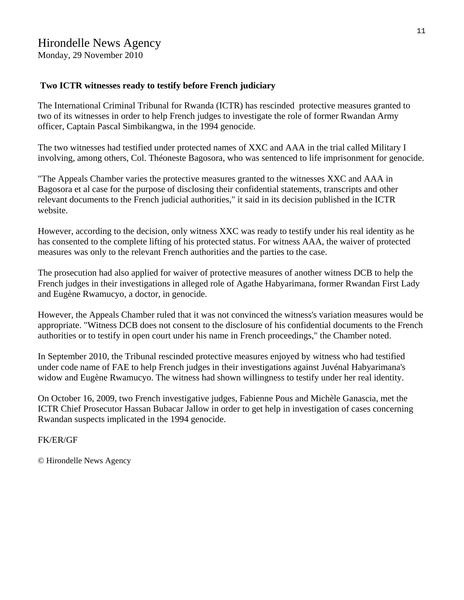# Hirondelle News Agency

Monday, 29 November 2010

#### **Two ICTR witnesses ready to testify before French judiciary**

The International Criminal Tribunal for Rwanda (ICTR) has rescinded protective measures granted to two of its witnesses in order to help French judges to investigate the role of former Rwandan Army officer, Captain Pascal Simbikangwa, in the 1994 genocide.

The two witnesses had testified under protected names of XXC and AAA in the trial called Military I involving, among others, Col. Théoneste Bagosora, who was sentenced to life imprisonment for genocide.

"The Appeals Chamber varies the protective measures granted to the witnesses XXC and AAA in Bagosora et al case for the purpose of disclosing their confidential statements, transcripts and other relevant documents to the French judicial authorities," it said in its decision published in the ICTR website.

However, according to the decision, only witness XXC was ready to testify under his real identity as he has consented to the complete lifting of his protected status. For witness AAA, the waiver of protected measures was only to the relevant French authorities and the parties to the case.

The prosecution had also applied for waiver of protective measures of another witness DCB to help the French judges in their investigations in alleged role of Agathe Habyarimana, former Rwandan First Lady and Eugène Rwamucyo, a doctor, in genocide.

However, the Appeals Chamber ruled that it was not convinced the witness's variation measures would be appropriate. "Witness DCB does not consent to the disclosure of his confidential documents to the French authorities or to testify in open court under his name in French proceedings," the Chamber noted.

In September 2010, the Tribunal rescinded protective measures enjoyed by witness who had testified under code name of FAE to help French judges in their investigations against Juvénal Habyarimana's widow and Eugène Rwamucyo. The witness had shown willingness to testify under her real identity.

On October 16, 2009, two French investigative judges, Fabienne Pous and Michèle Ganascia, met the ICTR Chief Prosecutor Hassan Bubacar Jallow in order to get help in investigation of cases concerning Rwandan suspects implicated in the 1994 genocide.

FK/ER/GF

© Hirondelle News Agency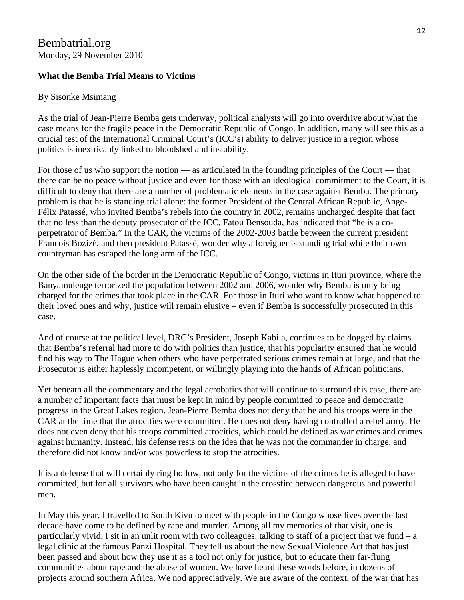# Bembatrial.org Monday, 29 November 2010

# **What the Bemba Trial Means to Victims**

## By Sisonke Msimang

As the trial of Jean-Pierre Bemba gets underway, political analysts will go into overdrive about what the case means for the fragile peace in the Democratic Republic of Congo. In addition, many will see this as a crucial test of the International Criminal Court's (ICC's) ability to deliver justice in a region whose politics is inextricably linked to bloodshed and instability.

For those of us who support the notion — as articulated in the founding principles of the Court — that there can be no peace without justice and even for those with an ideological commitment to the Court, it is difficult to deny that there are a number of problematic elements in the case against Bemba. The primary problem is that he is standing trial alone: the former President of the Central African Republic, Ange-Félix Patassé, who invited Bemba's rebels into the country in 2002, remains uncharged despite that fact that no less than the deputy prosecutor of the ICC, Fatou Bensouda, has indicated that "he is a coperpetrator of Bemba." In the CAR, the victims of the 2002-2003 battle between the current president Francois Bozizé, and then president Patassé, wonder why a foreigner is standing trial while their own countryman has escaped the long arm of the ICC.

On the other side of the border in the Democratic Republic of Congo, victims in Ituri province, where the Banyamulenge terrorized the population between 2002 and 2006, wonder why Bemba is only being charged for the crimes that took place in the CAR. For those in Ituri who want to know what happened to their loved ones and why, justice will remain elusive – even if Bemba is successfully prosecuted in this case.

And of course at the political level, DRC's President, Joseph Kabila, continues to be dogged by claims that Bemba's referral had more to do with politics than justice, that his popularity ensured that he would find his way to The Hague when others who have perpetrated serious crimes remain at large, and that the Prosecutor is either haplessly incompetent, or willingly playing into the hands of African politicians.

Yet beneath all the commentary and the legal acrobatics that will continue to surround this case, there are a number of important facts that must be kept in mind by people committed to peace and democratic progress in the Great Lakes region. Jean-Pierre Bemba does not deny that he and his troops were in the CAR at the time that the atrocities were committed. He does not deny having controlled a rebel army. He does not even deny that his troops committed atrocities, which could be defined as war crimes and crimes against humanity. Instead, his defense rests on the idea that he was not the commander in charge, and therefore did not know and/or was powerless to stop the atrocities.

It is a defense that will certainly ring hollow, not only for the victims of the crimes he is alleged to have committed, but for all survivors who have been caught in the crossfire between dangerous and powerful men.

In May this year, I travelled to South Kivu to meet with people in the Congo whose lives over the last decade have come to be defined by rape and murder. Among all my memories of that visit, one is particularly vivid. I sit in an unlit room with two colleagues, talking to staff of a project that we fund  $-a$ legal clinic at the famous Panzi Hospital. They tell us about the new Sexual Violence Act that has just been passed and about how they use it as a tool not only for justice, but to educate their far-flung communities about rape and the abuse of women. We have heard these words before, in dozens of projects around southern Africa. We nod appreciatively. We are aware of the context, of the war that has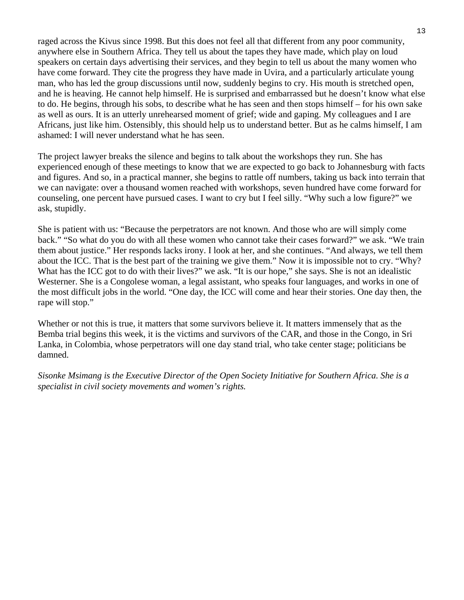raged across the Kivus since 1998. But this does not feel all that different from any poor community, anywhere else in Southern Africa. They tell us about the tapes they have made, which play on loud speakers on certain days advertising their services, and they begin to tell us about the many women who have come forward. They cite the progress they have made in Uvira, and a particularly articulate young man, who has led the group discussions until now, suddenly begins to cry. His mouth is stretched open, and he is heaving. He cannot help himself. He is surprised and embarrassed but he doesn't know what else to do. He begins, through his sobs, to describe what he has seen and then stops himself – for his own sake as well as ours. It is an utterly unrehearsed moment of grief; wide and gaping. My colleagues and I are Africans, just like him. Ostensibly, this should help us to understand better. But as he calms himself, I am ashamed: I will never understand what he has seen.

The project lawyer breaks the silence and begins to talk about the workshops they run. She has experienced enough of these meetings to know that we are expected to go back to Johannesburg with facts and figures. And so, in a practical manner, she begins to rattle off numbers, taking us back into terrain that we can navigate: over a thousand women reached with workshops, seven hundred have come forward for counseling, one percent have pursued cases. I want to cry but I feel silly. "Why such a low figure?" we ask, stupidly.

She is patient with us: "Because the perpetrators are not known. And those who are will simply come back." "So what do you do with all these women who cannot take their cases forward?" we ask. "We train them about justice." Her responds lacks irony. I look at her, and she continues. "And always, we tell them about the ICC. That is the best part of the training we give them." Now it is impossible not to cry. "Why? What has the ICC got to do with their lives?" we ask. "It is our hope," she says. She is not an idealistic Westerner. She is a Congolese woman, a legal assistant, who speaks four languages, and works in one of the most difficult jobs in the world. "One day, the ICC will come and hear their stories. One day then, the rape will stop."

Whether or not this is true, it matters that some survivors believe it. It matters immensely that as the Bemba trial begins this week, it is the victims and survivors of the CAR, and those in the Congo, in Sri Lanka, in Colombia, whose perpetrators will one day stand trial, who take center stage; politicians be damned.

*Sisonke Msimang is the Executive Director of the Open Society Initiative for Southern Africa. She is a specialist in civil society movements and women's rights.*